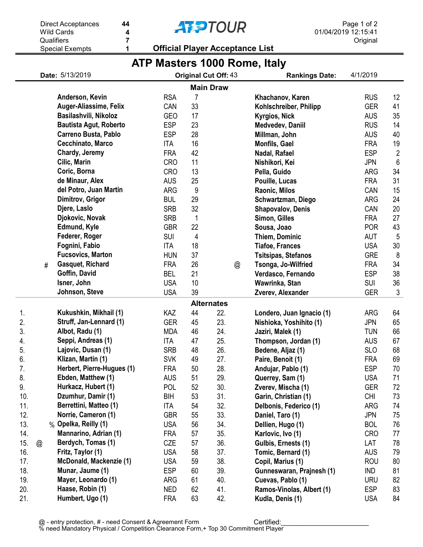|     |                | <b>Wild Cards</b><br>4         |            |    | <b>TIZE I UUR</b>                      |                              | 01/04/2019 12:15:41 |                |  |
|-----|----------------|--------------------------------|------------|----|----------------------------------------|------------------------------|---------------------|----------------|--|
|     |                | Qualifiers<br>7                |            |    |                                        |                              | Original            |                |  |
|     |                | <b>Special Exempts</b><br>1    |            |    | <b>Official Player Acceptance List</b> |                              |                     |                |  |
|     |                |                                |            |    |                                        | ATP Masters 1000 Rome, Italy |                     |                |  |
|     |                | Date: 5/13/2019                |            |    | Original Cut Off: 43                   | <b>Rankings Date:</b>        | 4/1/2019            |                |  |
|     |                |                                |            |    | <b>Main Draw</b>                       |                              |                     |                |  |
|     |                | Anderson, Kevin                | <b>RSA</b> | 7  |                                        | Khachanov, Karen             | <b>RUS</b>          | 12             |  |
|     |                | Auger-Aliassime, Felix         | CAN        | 33 |                                        | Kohlschreiber, Philipp       | <b>GER</b>          | 41             |  |
|     |                | Basilashvili, Nikoloz          | <b>GEO</b> | 17 |                                        | Kyrgios, Nick                | <b>AUS</b>          | 35             |  |
|     |                | <b>Bautista Agut, Roberto</b>  | <b>ESP</b> | 23 |                                        | Medvedev, Daniil             | <b>RUS</b>          | 14             |  |
|     |                | <b>Carreno Busta, Pablo</b>    | <b>ESP</b> | 28 |                                        | Millman, John                | <b>AUS</b>          | 40             |  |
|     |                | Cecchinato, Marco              | <b>ITA</b> | 16 |                                        | Monfils, Gael                | <b>FRA</b>          | 19             |  |
|     |                | Chardy, Jeremy                 | <b>FRA</b> | 42 |                                        |                              | <b>ESP</b>          | $\overline{2}$ |  |
|     |                | Cilic, Marin                   | <b>CRO</b> | 11 |                                        | Nadal, Rafael                | <b>JPN</b>          | $6\phantom{1}$ |  |
|     |                | Coric, Borna                   |            |    |                                        | Nishikori, Kei               |                     | 34             |  |
|     |                | de Minaur, Alex                | <b>CRO</b> | 13 |                                        | Pella, Guido                 | <b>ARG</b>          |                |  |
|     |                |                                | <b>AUS</b> | 25 |                                        | Pouille, Lucas               | <b>FRA</b>          | 31             |  |
|     |                | del Potro, Juan Martin         | <b>ARG</b> | 9  |                                        | Raonic, Milos                | CAN                 | 15             |  |
|     |                | Dimitrov, Grigor               | <b>BUL</b> | 29 |                                        | Schwartzman, Diego           | <b>ARG</b>          | 24             |  |
|     |                | Djere, Laslo                   | <b>SRB</b> | 32 |                                        | <b>Shapovalov, Denis</b>     | CAN                 | 20             |  |
|     |                | Djokovic, Novak                | <b>SRB</b> | 1  |                                        | Simon, Gilles                | <b>FRA</b>          | 27             |  |
|     |                | Edmund, Kyle                   | <b>GBR</b> | 22 |                                        | Sousa, Joao                  | <b>POR</b>          | 43             |  |
|     |                | Federer, Roger                 | <b>SUI</b> | 4  |                                        | Thiem, Dominic               | <b>AUT</b>          | 5              |  |
|     |                | Fognini, Fabio                 | <b>ITA</b> | 18 |                                        | <b>Tiafoe, Frances</b>       | <b>USA</b>          | 30             |  |
|     |                | <b>Fucsovics, Marton</b>       | <b>HUN</b> | 37 |                                        | <b>Tsitsipas, Stefanos</b>   | <b>GRE</b>          | 8              |  |
|     | #              | Gasquet, Richard               | <b>FRA</b> | 26 | @                                      | Tsonga, Jo-Wilfried          | <b>FRA</b>          | 34             |  |
|     |                | Goffin, David                  | <b>BEL</b> | 21 |                                        | Verdasco, Fernando           | <b>ESP</b>          | 38             |  |
|     |                | Isner, John                    | <b>USA</b> | 10 |                                        | Wawrinka, Stan               | <b>SUI</b>          | 36             |  |
|     |                | Johnson, Steve                 | <b>USA</b> | 39 |                                        | Zverev, Alexander            | <b>GER</b>          | $\mathfrak{Z}$ |  |
|     |                |                                |            |    | <b>Alternates</b>                      |                              |                     |                |  |
| 1.  |                | Kukushkin, Mikhail (1)         | KAZ        | 44 | 22.                                    | Londero, Juan Ignacio (1)    | <b>ARG</b>          | 64             |  |
| 2.  |                | Struff, Jan-Lennard (1)        | <b>GER</b> | 45 | 23.                                    | Nishioka, Yoshihito (1)      | <b>JPN</b>          | 65             |  |
| 3.  |                | Albot, Radu (1)                | <b>MDA</b> | 46 | 24.                                    | Jaziri, Malek (1)            | <b>TUN</b>          | 66             |  |
| 4.  |                | Seppi, Andreas (1)             | <b>ITA</b> | 47 | 25.                                    | Thompson, Jordan (1)         | <b>AUS</b>          | 67             |  |
| 5.  |                | Lajovic, Dusan (1)             | <b>SRB</b> | 48 | 26.                                    | Bedene, Aljaz (1)            | <b>SLO</b>          | 68             |  |
| 6.  |                | Klizan, Martin (1)             | <b>SVK</b> | 49 | 27.                                    | Paire, Benoit (1)            | <b>FRA</b>          | 69             |  |
| 7.  |                | Herbert, Pierre-Hugues (1)     | <b>FRA</b> | 50 | 28.                                    | Andujar, Pablo (1)           | <b>ESP</b>          | 70             |  |
| 8.  |                | Ebden, Matthew (1)             | <b>AUS</b> | 51 | 29.                                    | Querrey, Sam (1)             | <b>USA</b>          | 71             |  |
| 9.  |                | Hurkacz, Hubert (1)            | POL        | 52 | 30.                                    | Zverev, Mischa (1)           | <b>GER</b>          | 72             |  |
| 10. |                | Dzumhur, Damir (1)             | <b>BIH</b> | 53 | 31.                                    | Garin, Christian (1)         | <b>CHI</b>          | 73             |  |
| 11. |                | Berrettini, Matteo (1)         | <b>ITA</b> | 54 | 32.                                    | Delbonis, Federico (1)       | <b>ARG</b>          | 74             |  |
| 12. |                | Norrie, Cameron (1)            | <b>GBR</b> | 55 | 33.                                    | Daniel, Taro (1)             | <b>JPN</b>          | 75             |  |
| 13. |                | % Opelka, Reilly (1)           | <b>USA</b> | 56 | 34.                                    | Dellien, Hugo (1)            | <b>BOL</b>          | 76             |  |
| 14. |                | Mannarino, Adrian (1)          | <b>FRA</b> | 57 | 35.                                    | Karlovic, Ivo (1)            | <b>CRO</b>          | 77             |  |
| 15. | $^{\circledR}$ | Berdych, Tomas (1)             | CZE        | 57 | 36.                                    | Gulbis, Ernests (1)          | LAT                 | 78             |  |
| 16. |                | Fritz, Taylor (1)              | <b>USA</b> | 58 | 37.                                    | Tomic, Bernard (1)           | <b>AUS</b>          | 79             |  |
| 17. |                | <b>McDonald, Mackenzie (1)</b> | <b>USA</b> | 59 | 38.                                    | Copil, Marius (1)            | <b>ROU</b>          | 80             |  |
| 18. |                | Munar, Jaume (1)               | <b>ESP</b> | 60 | 39.                                    | Gunneswaran, Prajnesh (1)    | IND                 | 81             |  |
| 19. |                | Mayer, Leonardo (1)            | ARG        | 61 | 40.                                    | Cuevas, Pablo (1)            | <b>URU</b>          | 82             |  |
| 20. |                | Haase, Robin (1)               | <b>NED</b> | 62 | 41.                                    | Ramos-Vinolas, Albert (1)    | <b>ESP</b>          | 83             |  |
| 21. |                | Humbert, Ugo (1)               | <b>FRA</b> | 63 | 42.                                    | Kudla, Denis (1)             | <b>USA</b>          | 84             |  |

**AFPTOUR** 

Page 1 of 2

Direct Acceptances

44